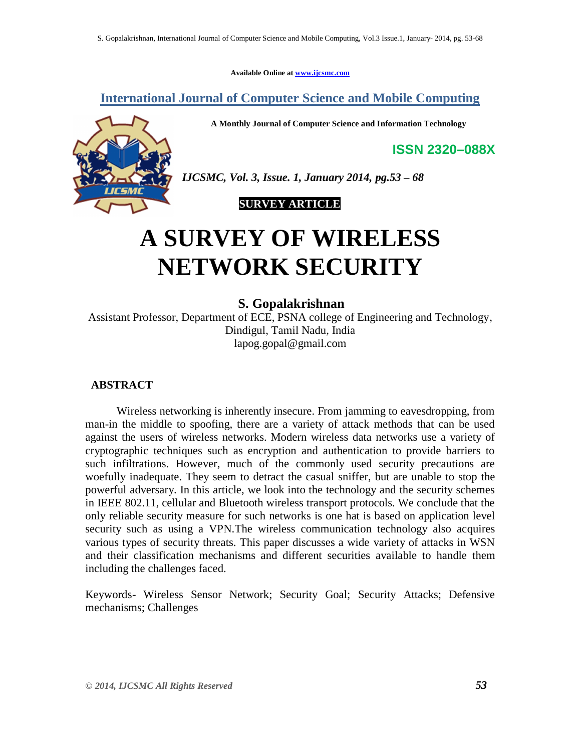**Available Online at www.ijcsmc.com**

**International Journal of Computer Science and Mobile Computing**

**A Monthly Journal of Computer Science and Information Technology**

**ISSN 2320–088X**



*IJCSMC, Vol. 3, Issue. 1, January 2014, pg.53 – 68*

# **SURVEY ARTICLE**

# **A SURVEY OF WIRELESS NETWORK SECURITY**

## **S. Gopalakrishnan**

Assistant Professor, Department of ECE, PSNA college of Engineering and Technology, Dindigul, Tamil Nadu, India lapog.gopal@gmail.com

#### **ABSTRACT**

 Wireless networking is inherently insecure. From jamming to eavesdropping, from man-in the middle to spoofing, there are a variety of attack methods that can be used against the users of wireless networks. Modern wireless data networks use a variety of cryptographic techniques such as encryption and authentication to provide barriers to such infiltrations. However, much of the commonly used security precautions are woefully inadequate. They seem to detract the casual sniffer, but are unable to stop the powerful adversary. In this article, we look into the technology and the security schemes in IEEE 802.11, cellular and Bluetooth wireless transport protocols. We conclude that the only reliable security measure for such networks is one hat is based on application level security such as using a VPN.The wireless communication technology also acquires various types of security threats. This paper discusses a wide variety of attacks in WSN and their classification mechanisms and different securities available to handle them including the challenges faced.

Keywords- Wireless Sensor Network; Security Goal; Security Attacks; Defensive mechanisms; Challenges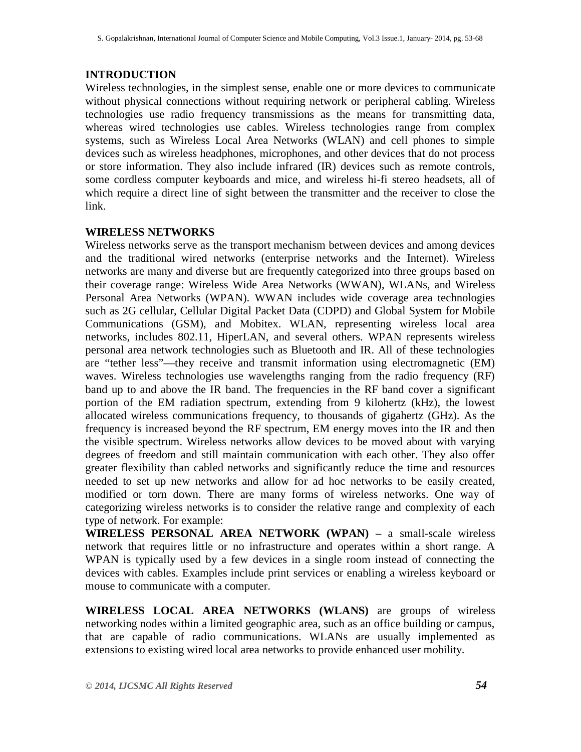## **INTRODUCTION**

Wireless technologies, in the simplest sense, enable one or more devices to communicate without physical connections without requiring network or peripheral cabling. Wireless technologies use radio frequency transmissions as the means for transmitting data, whereas wired technologies use cables. Wireless technologies range from complex systems, such as Wireless Local Area Networks (WLAN) and cell phones to simple devices such as wireless headphones, microphones, and other devices that do not process or store information. They also include infrared (IR) devices such as remote controls, some cordless computer keyboards and mice, and wireless hi-fi stereo headsets, all of which require a direct line of sight between the transmitter and the receiver to close the link.

## **WIRELESS NETWORKS**

Wireless networks serve as the transport mechanism between devices and among devices and the traditional wired networks (enterprise networks and the Internet). Wireless networks are many and diverse but are frequently categorized into three groups based on their coverage range: Wireless Wide Area Networks (WWAN), WLANs, and Wireless Personal Area Networks (WPAN). WWAN includes wide coverage area technologies such as 2G cellular, Cellular Digital Packet Data (CDPD) and Global System for Mobile Communications (GSM), and Mobitex. WLAN, representing wireless local area networks, includes 802.11, HiperLAN, and several others. WPAN represents wireless personal area network technologies such as Bluetooth and IR. All of these technologies are "tether less"—they receive and transmit information using electromagnetic (EM) waves. Wireless technologies use wavelengths ranging from the radio frequency (RF) band up to and above the IR band. The frequencies in the RF band cover a significant portion of the EM radiation spectrum, extending from 9 kilohertz (kHz), the lowest allocated wireless communications frequency, to thousands of gigahertz (GHz). As the frequency is increased beyond the RF spectrum, EM energy moves into the IR and then the visible spectrum. Wireless networks allow devices to be moved about with varying degrees of freedom and still maintain communication with each other. They also offer greater flexibility than cabled networks and significantly reduce the time and resources needed to set up new networks and allow for ad hoc networks to be easily created, modified or torn down. There are many forms of wireless networks. One way of categorizing wireless networks is to consider the relative range and complexity of each type of network. For example:

**WIRELESS PERSONAL AREA NETWORK (WPAN) –** a small-scale wireless network that requires little or no infrastructure and operates within a short range. A WPAN is typically used by a few devices in a single room instead of connecting the devices with cables. Examples include print services or enabling a wireless keyboard or mouse to communicate with a computer.

**WIRELESS LOCAL AREA NETWORKS (WLANS)** are groups of wireless networking nodes within a limited geographic area, such as an office building or campus, that are capable of radio communications. WLANs are usually implemented as extensions to existing wired local area networks to provide enhanced user mobility.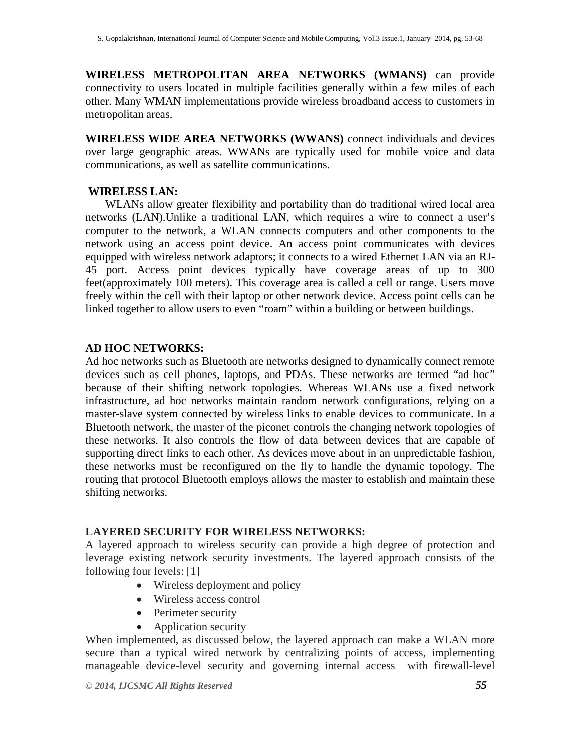**WIRELESS METROPOLITAN AREA NETWORKS (WMANS)** can provide connectivity to users located in multiple facilities generally within a few miles of each other. Many WMAN implementations provide wireless broadband access to customers in metropolitan areas.

**WIRELESS WIDE AREA NETWORKS (WWANS)** connect individuals and devices over large geographic areas. WWANs are typically used for mobile voice and data communications, as well as satellite communications.

## **WIRELESS LAN:**

 WLANs allow greater flexibility and portability than do traditional wired local area networks (LAN).Unlike a traditional LAN, which requires a wire to connect a user's computer to the network, a WLAN connects computers and other components to the network using an access point device. An access point communicates with devices equipped with wireless network adaptors; it connects to a wired Ethernet LAN via an RJ-45 port. Access point devices typically have coverage areas of up to 300 feet(approximately 100 meters). This coverage area is called a cell or range. Users move freely within the cell with their laptop or other network device. Access point cells can be linked together to allow users to even "roam" within a building or between buildings.

## **AD HOC NETWORKS:**

Ad hoc networks such as Bluetooth are networks designed to dynamically connect remote devices such as cell phones, laptops, and PDAs. These networks are termed "ad hoc" because of their shifting network topologies. Whereas WLANs use a fixed network infrastructure, ad hoc networks maintain random network configurations, relying on a master-slave system connected by wireless links to enable devices to communicate. In a Bluetooth network, the master of the piconet controls the changing network topologies of these networks. It also controls the flow of data between devices that are capable of supporting direct links to each other. As devices move about in an unpredictable fashion, these networks must be reconfigured on the fly to handle the dynamic topology. The routing that protocol Bluetooth employs allows the master to establish and maintain these shifting networks.

# **LAYERED SECURITY FOR WIRELESS NETWORKS:**

A layered approach to wireless security can provide a high degree of protection and leverage existing network security investments. The layered approach consists of the following four levels: [1]

- Wireless deployment and policy
- Wireless access control
- Perimeter security
- Application security

When implemented, as discussed below, the layered approach can make a WLAN more secure than a typical wired network by centralizing points of access, implementing manageable device-level security and governing internal access with firewall-level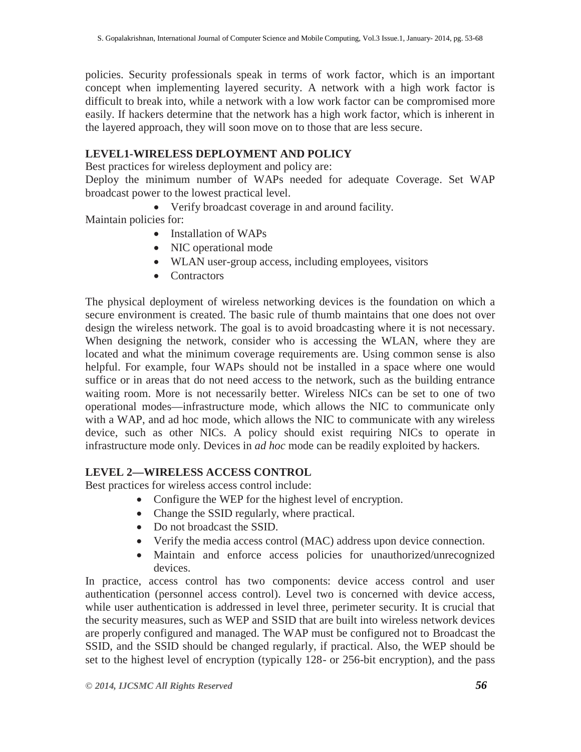policies. Security professionals speak in terms of work factor, which is an important concept when implementing layered security. A network with a high work factor is difficult to break into, while a network with a low work factor can be compromised more easily. If hackers determine that the network has a high work factor, which is inherent in the layered approach, they will soon move on to those that are less secure.

# **LEVEL1-WIRELESS DEPLOYMENT AND POLICY**

Best practices for wireless deployment and policy are:

Deploy the minimum number of WAPs needed for adequate Coverage. Set WAP broadcast power to the lowest practical level.

Verify broadcast coverage in and around facility.

Maintain policies for:

- Installation of WAPs
- NIC operational mode
- WLAN user-group access, including employees, visitors
- Contractors

The physical deployment of wireless networking devices is the foundation on which a secure environment is created. The basic rule of thumb maintains that one does not over design the wireless network. The goal is to avoid broadcasting where it is not necessary. When designing the network, consider who is accessing the WLAN, where they are located and what the minimum coverage requirements are. Using common sense is also helpful. For example, four WAPs should not be installed in a space where one would suffice or in areas that do not need access to the network, such as the building entrance waiting room. More is not necessarily better. Wireless NICs can be set to one of two operational modes—infrastructure mode, which allows the NIC to communicate only with a WAP, and ad hoc mode, which allows the NIC to communicate with any wireless device, such as other NICs. A policy should exist requiring NICs to operate in infrastructure mode only. Devices in *ad hoc* mode can be readily exploited by hackers.

# **LEVEL 2—WIRELESS ACCESS CONTROL**

Best practices for wireless access control include:

- Configure the WEP for the highest level of encryption.
- Change the SSID regularly, where practical.
- Do not broadcast the SSID.
- Verify the media access control (MAC) address upon device connection.
- Maintain and enforce access policies for unauthorized/unrecognized devices.

In practice, access control has two components: device access control and user authentication (personnel access control). Level two is concerned with device access, while user authentication is addressed in level three, perimeter security. It is crucial that the security measures, such as WEP and SSID that are built into wireless network devices are properly configured and managed. The WAP must be configured not to Broadcast the SSID, and the SSID should be changed regularly, if practical. Also, the WEP should be set to the highest level of encryption (typically 128- or 256-bit encryption), and the pass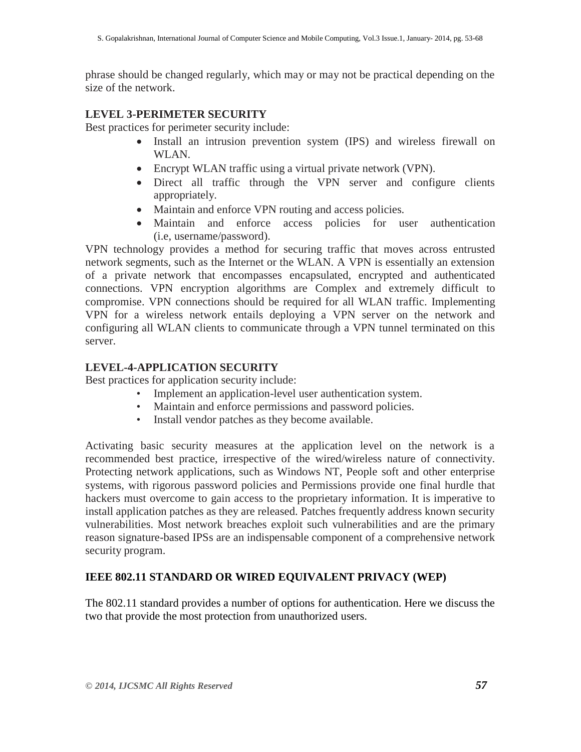phrase should be changed regularly, which may or may not be practical depending on the size of the network.

# **LEVEL 3-PERIMETER SECURITY**

Best practices for perimeter security include:

- Install an intrusion prevention system (IPS) and wireless firewall on WLAN.
- Encrypt WLAN traffic using a virtual private network (VPN).
- Direct all traffic through the VPN server and configure clients appropriately.
- Maintain and enforce VPN routing and access policies.
- Maintain and enforce access policies for user authentication (i.e, username/password).

VPN technology provides a method for securing traffic that moves across entrusted network segments, such as the Internet or the WLAN. A VPN is essentially an extension of a private network that encompasses encapsulated, encrypted and authenticated connections. VPN encryption algorithms are Complex and extremely difficult to compromise. VPN connections should be required for all WLAN traffic. Implementing VPN for a wireless network entails deploying a VPN server on the network and configuring all WLAN clients to communicate through a VPN tunnel terminated on this server.

## **LEVEL-4-APPLICATION SECURITY**

Best practices for application security include:

- Implement an application-level user authentication system.
- Maintain and enforce permissions and password policies.
- Install vendor patches as they become available.

Activating basic security measures at the application level on the network is a recommended best practice, irrespective of the wired/wireless nature of connectivity. Protecting network applications, such as Windows NT, People soft and other enterprise systems, with rigorous password policies and Permissions provide one final hurdle that hackers must overcome to gain access to the proprietary information. It is imperative to install application patches as they are released. Patches frequently address known security vulnerabilities. Most network breaches exploit such vulnerabilities and are the primary reason signature-based IPSs are an indispensable component of a comprehensive network security program.

# **IEEE 802.11 STANDARD OR WIRED EQUIVALENT PRIVACY (WEP)**

The 802.11 standard provides a number of options for authentication. Here we discuss the two that provide the most protection from unauthorized users.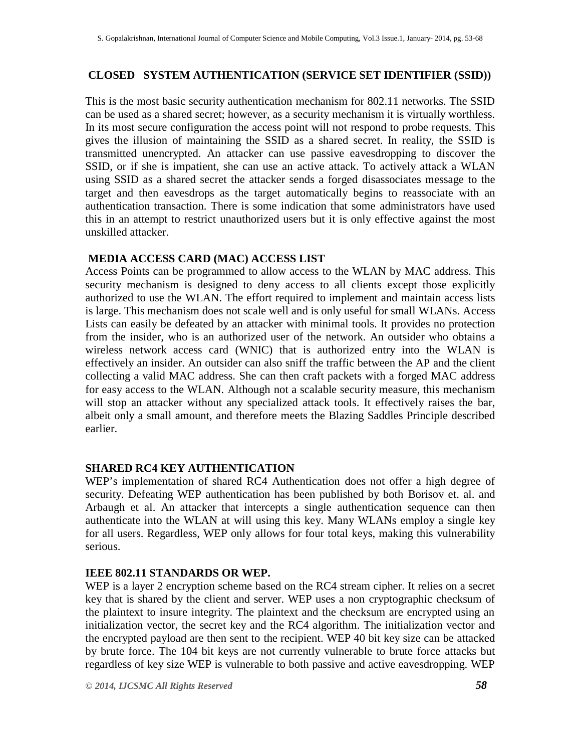# **CLOSED SYSTEM AUTHENTICATION (SERVICE SET IDENTIFIER (SSID))**

This is the most basic security authentication mechanism for 802.11 networks. The SSID can be used as a shared secret; however, as a security mechanism it is virtually worthless. In its most secure configuration the access point will not respond to probe requests. This gives the illusion of maintaining the SSID as a shared secret. In reality, the SSID is transmitted unencrypted. An attacker can use passive eavesdropping to discover the SSID, or if she is impatient, she can use an active attack. To actively attack a WLAN using SSID as a shared secret the attacker sends a forged disassociates message to the target and then eavesdrops as the target automatically begins to reassociate with an authentication transaction. There is some indication that some administrators have used this in an attempt to restrict unauthorized users but it is only effective against the most unskilled attacker.

# **MEDIA ACCESS CARD (MAC) ACCESS LIST**

Access Points can be programmed to allow access to the WLAN by MAC address. This security mechanism is designed to deny access to all clients except those explicitly authorized to use the WLAN. The effort required to implement and maintain access lists is large. This mechanism does not scale well and is only useful for small WLANs. Access Lists can easily be defeated by an attacker with minimal tools. It provides no protection from the insider, who is an authorized user of the network. An outsider who obtains a wireless network access card (WNIC) that is authorized entry into the WLAN is effectively an insider. An outsider can also sniff the traffic between the AP and the client collecting a valid MAC address. She can then craft packets with a forged MAC address for easy access to the WLAN. Although not a scalable security measure, this mechanism will stop an attacker without any specialized attack tools. It effectively raises the bar, albeit only a small amount, and therefore meets the Blazing Saddles Principle described earlier.

# **SHARED RC4 KEY AUTHENTICATION**

WEP's implementation of shared RC4 Authentication does not offer a high degree of security. Defeating WEP authentication has been published by both Borisov et. al. and Arbaugh et al. An attacker that intercepts a single authentication sequence can then authenticate into the WLAN at will using this key. Many WLANs employ a single key for all users. Regardless, WEP only allows for four total keys, making this vulnerability serious.

# **IEEE 802.11 STANDARDS OR WEP.**

WEP is a layer 2 encryption scheme based on the RC4 stream cipher. It relies on a secret key that is shared by the client and server. WEP uses a non cryptographic checksum of the plaintext to insure integrity. The plaintext and the checksum are encrypted using an initialization vector, the secret key and the RC4 algorithm. The initialization vector and the encrypted payload are then sent to the recipient. WEP 40 bit key size can be attacked by brute force. The 104 bit keys are not currently vulnerable to brute force attacks but regardless of key size WEP is vulnerable to both passive and active eavesdropping. WEP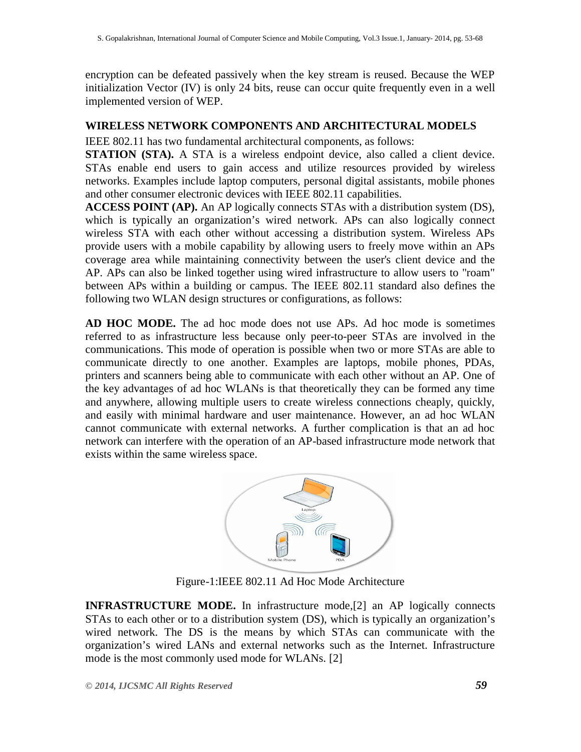encryption can be defeated passively when the key stream is reused. Because the WEP initialization Vector (IV) is only 24 bits, reuse can occur quite frequently even in a well implemented version of WEP.

#### **WIRELESS NETWORK COMPONENTS AND ARCHITECTURAL MODELS**

IEEE 802.11 has two fundamental architectural components, as follows:

**STATION (STA).** A STA is a wireless endpoint device, also called a client device. STAs enable end users to gain access and utilize resources provided by wireless networks. Examples include laptop computers, personal digital assistants, mobile phones and other consumer electronic devices with IEEE 802.11 capabilities.

**ACCESS POINT (AP).** An AP logically connects STAs with a distribution system (DS), which is typically an organization's wired network. APs can also logically connect wireless STA with each other without accessing a distribution system. Wireless APs provide users with a mobile capability by allowing users to freely move within an APs coverage area while maintaining connectivity between the user's client device and the AP. APs can also be linked together using wired infrastructure to allow users to "roam" between APs within a building or campus. The IEEE 802.11 standard also defines the following two WLAN design structures or configurations, as follows:

**AD HOC MODE.** The ad hoc mode does not use APs. Ad hoc mode is sometimes referred to as infrastructure less because only peer-to-peer STAs are involved in the communications. This mode of operation is possible when two or more STAs are able to communicate directly to one another. Examples are laptops, mobile phones, PDAs, printers and scanners being able to communicate with each other without an AP. One of the key advantages of ad hoc WLANs is that theoretically they can be formed any time and anywhere, allowing multiple users to create wireless connections cheaply, quickly, and easily with minimal hardware and user maintenance. However, an ad hoc WLAN cannot communicate with external networks. A further complication is that an ad hoc network can interfere with the operation of an AP-based infrastructure mode network that exists within the same wireless space.



Figure-1:IEEE 802.11 Ad Hoc Mode Architecture

**INFRASTRUCTURE MODE.** In infrastructure mode,[2] an AP logically connects STAs to each other or to a distribution system (DS), which is typically an organization's wired network. The DS is the means by which STAs can communicate with the organization's wired LANs and external networks such as the Internet. Infrastructure mode is the most commonly used mode for WLANs. [2]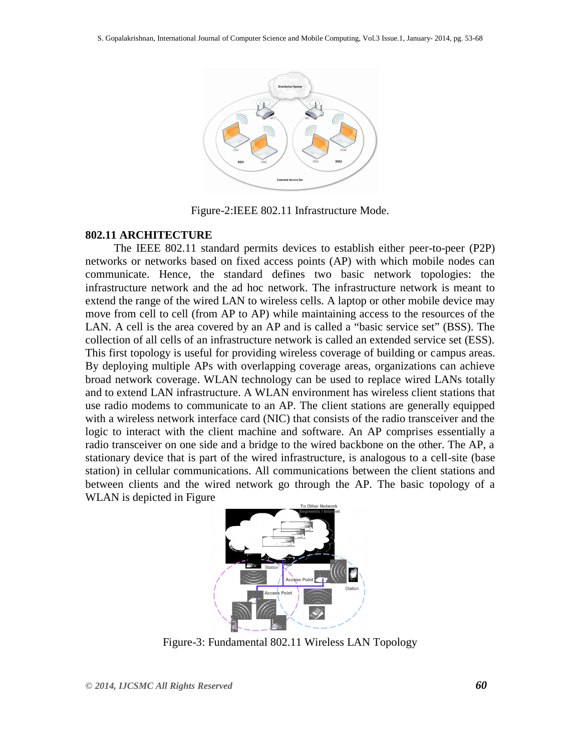

Figure-2:IEEE 802.11 Infrastructure Mode.

#### **802.11 ARCHITECTURE**

 The IEEE 802.11 standard permits devices to establish either peer-to-peer (P2P) networks or networks based on fixed access points (AP) with which mobile nodes can communicate. Hence, the standard defines two basic network topologies: the infrastructure network and the ad hoc network. The infrastructure network is meant to extend the range of the wired LAN to wireless cells. A laptop or other mobile device may move from cell to cell (from AP to AP) while maintaining access to the resources of the LAN. A cell is the area covered by an AP and is called a "basic service set" (BSS). The collection of all cells of an infrastructure network is called an extended service set (ESS). This first topology is useful for providing wireless coverage of building or campus areas. By deploying multiple APs with overlapping coverage areas, organizations can achieve broad network coverage. WLAN technology can be used to replace wired LANs totally and to extend LAN infrastructure. A WLAN environment has wireless client stations that use radio modems to communicate to an AP. The client stations are generally equipped with a wireless network interface card (NIC) that consists of the radio transceiver and the logic to interact with the client machine and software. An AP comprises essentially a radio transceiver on one side and a bridge to the wired backbone on the other. The AP, a stationary device that is part of the wired infrastructure, is analogous to a cell-site (base station) in cellular communications. All communications between the client stations and between clients and the wired network go through the AP. The basic topology of a WLAN is depicted in Figure



Figure-3: Fundamental 802.11 Wireless LAN Topology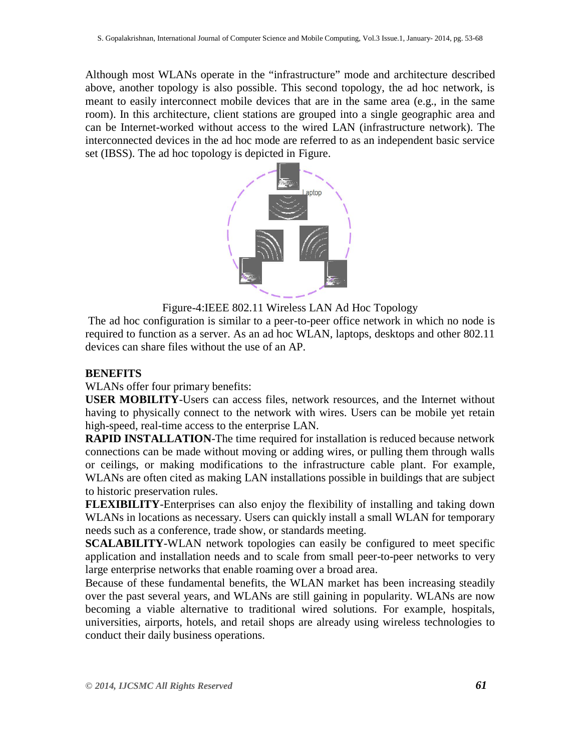Although most WLANs operate in the "infrastructure" mode and architecture described above, another topology is also possible. This second topology, the ad hoc network, is meant to easily interconnect mobile devices that are in the same area (e.g., in the same room). In this architecture, client stations are grouped into a single geographic area and can be Internet-worked without access to the wired LAN (infrastructure network). The interconnected devices in the ad hoc mode are referred to as an independent basic service set (IBSS). The ad hoc topology is depicted in Figure.



Figure-4:IEEE 802.11 Wireless LAN Ad Hoc Topology

The ad hoc configuration is similar to a peer-to-peer office network in which no node is required to function as a server. As an ad hoc WLAN, laptops, desktops and other 802.11 devices can share files without the use of an AP.

# **BENEFITS**

WLANs offer four primary benefits:

**USER MOBILITY**-Users can access files, network resources, and the Internet without having to physically connect to the network with wires. Users can be mobile yet retain high-speed, real-time access to the enterprise LAN.

**RAPID INSTALLATION**-The time required for installation is reduced because network connections can be made without moving or adding wires, or pulling them through walls or ceilings, or making modifications to the infrastructure cable plant. For example, WLANs are often cited as making LAN installations possible in buildings that are subject to historic preservation rules.

**FLEXIBILITY**-Enterprises can also enjoy the flexibility of installing and taking down WLANs in locations as necessary. Users can quickly install a small WLAN for temporary needs such as a conference, trade show, or standards meeting.

**SCALABILITY**-WLAN network topologies can easily be configured to meet specific application and installation needs and to scale from small peer-to-peer networks to very large enterprise networks that enable roaming over a broad area.

Because of these fundamental benefits, the WLAN market has been increasing steadily over the past several years, and WLANs are still gaining in popularity. WLANs are now becoming a viable alternative to traditional wired solutions. For example, hospitals, universities, airports, hotels, and retail shops are already using wireless technologies to conduct their daily business operations.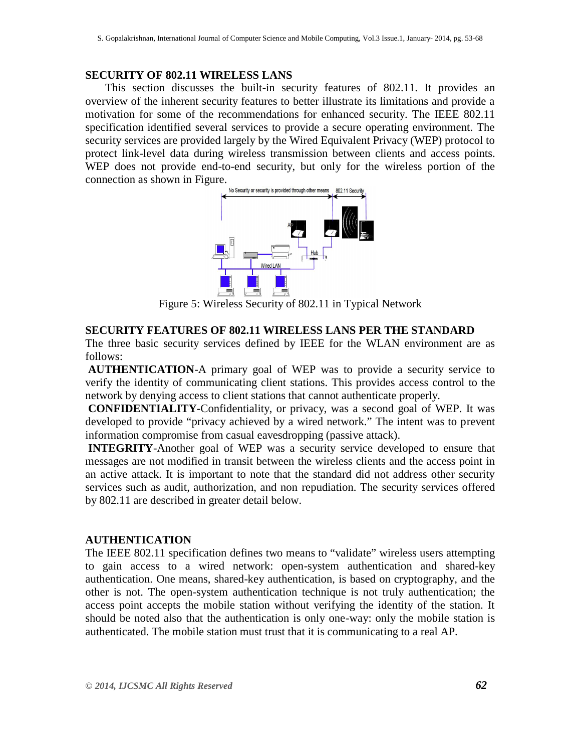#### **SECURITY OF 802.11 WIRELESS LANS**

 This section discusses the built-in security features of 802.11. It provides an overview of the inherent security features to better illustrate its limitations and provide a motivation for some of the recommendations for enhanced security. The IEEE 802.11 specification identified several services to provide a secure operating environment. The security services are provided largely by the Wired Equivalent Privacy (WEP) protocol to protect link-level data during wireless transmission between clients and access points. WEP does not provide end-to-end security, but only for the wireless portion of the connection as shown in Figure.



Figure 5: Wireless Security of 802.11 in Typical Network

## **SECURITY FEATURES OF 802.11 WIRELESS LANS PER THE STANDARD**

The three basic security services defined by IEEE for the WLAN environment are as follows:

**AUTHENTICATION**-A primary goal of WEP was to provide a security service to verify the identity of communicating client stations. This provides access control to the network by denying access to client stations that cannot authenticate properly.

**CONFIDENTIALITY-**Confidentiality, or privacy, was a second goal of WEP. It was developed to provide "privacy achieved by a wired network." The intent was to prevent information compromise from casual eavesdropping (passive attack).

**INTEGRITY**-Another goal of WEP was a security service developed to ensure that messages are not modified in transit between the wireless clients and the access point in an active attack. It is important to note that the standard did not address other security services such as audit, authorization, and non repudiation. The security services offered by 802.11 are described in greater detail below.

#### **AUTHENTICATION**

The IEEE 802.11 specification defines two means to "validate" wireless users attempting to gain access to a wired network: open-system authentication and shared-key authentication. One means, shared-key authentication, is based on cryptography, and the other is not. The open-system authentication technique is not truly authentication; the access point accepts the mobile station without verifying the identity of the station. It should be noted also that the authentication is only one-way: only the mobile station is authenticated. The mobile station must trust that it is communicating to a real AP.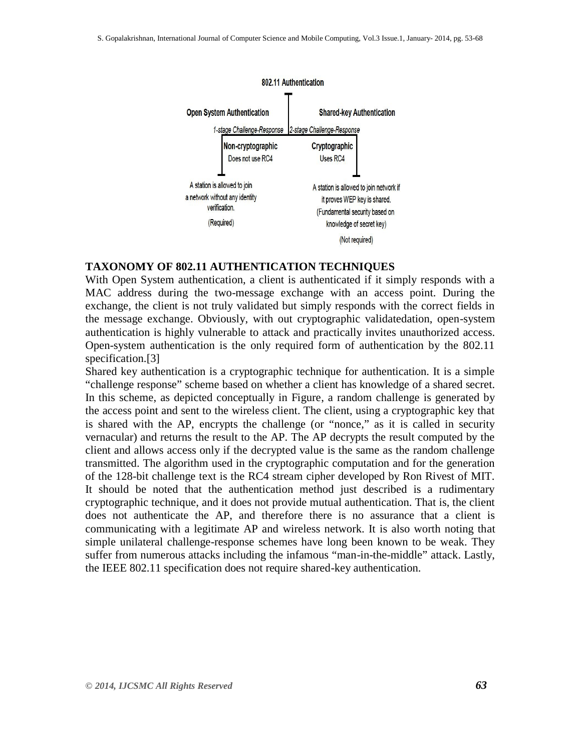

#### **TAXONOMY OF 802.11 AUTHENTICATION TECHNIQUES**

With Open System authentication, a client is authenticated if it simply responds with a MAC address during the two-message exchange with an access point. During the exchange, the client is not truly validated but simply responds with the correct fields in the message exchange. Obviously, with out cryptographic validatedation, open-system authentication is highly vulnerable to attack and practically invites unauthorized access. Open-system authentication is the only required form of authentication by the 802.11 specification.[3]

Shared key authentication is a cryptographic technique for authentication. It is a simple "challenge response" scheme based on whether a client has knowledge of a shared secret. In this scheme, as depicted conceptually in Figure, a random challenge is generated by the access point and sent to the wireless client. The client, using a cryptographic key that is shared with the AP, encrypts the challenge (or "nonce," as it is called in security vernacular) and returns the result to the AP. The AP decrypts the result computed by the client and allows access only if the decrypted value is the same as the random challenge transmitted. The algorithm used in the cryptographic computation and for the generation of the 128-bit challenge text is the RC4 stream cipher developed by Ron Rivest of MIT. It should be noted that the authentication method just described is a rudimentary cryptographic technique, and it does not provide mutual authentication. That is, the client does not authenticate the AP, and therefore there is no assurance that a client is communicating with a legitimate AP and wireless network. It is also worth noting that simple unilateral challenge-response schemes have long been known to be weak. They suffer from numerous attacks including the infamous "man-in-the-middle" attack. Lastly, the IEEE 802.11 specification does not require shared-key authentication.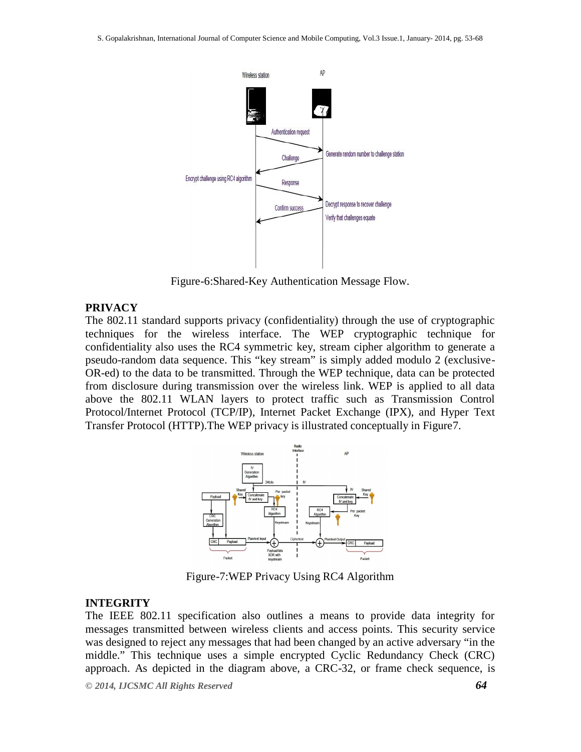

Figure-6:Shared-Key Authentication Message Flow.

## **PRIVACY**

The 802.11 standard supports privacy (confidentiality) through the use of cryptographic techniques for the wireless interface. The WEP cryptographic technique for confidentiality also uses the RC4 symmetric key, stream cipher algorithm to generate a pseudo-random data sequence. This "key stream" is simply added modulo 2 (exclusive-OR-ed) to the data to be transmitted. Through the WEP technique, data can be protected from disclosure during transmission over the wireless link. WEP is applied to all data above the 802.11 WLAN layers to protect traffic such as Transmission Control Protocol/Internet Protocol (TCP/IP), Internet Packet Exchange (IPX), and Hyper Text Transfer Protocol (HTTP).The WEP privacy is illustrated conceptually in Figure7.



Figure-7:WEP Privacy Using RC4 Algorithm

# **INTEGRITY**

The IEEE 802.11 specification also outlines a means to provide data integrity for messages transmitted between wireless clients and access points. This security service was designed to reject any messages that had been changed by an active adversary "in the middle." This technique uses a simple encrypted Cyclic Redundancy Check (CRC) approach. As depicted in the diagram above, a CRC-32, or frame check sequence, is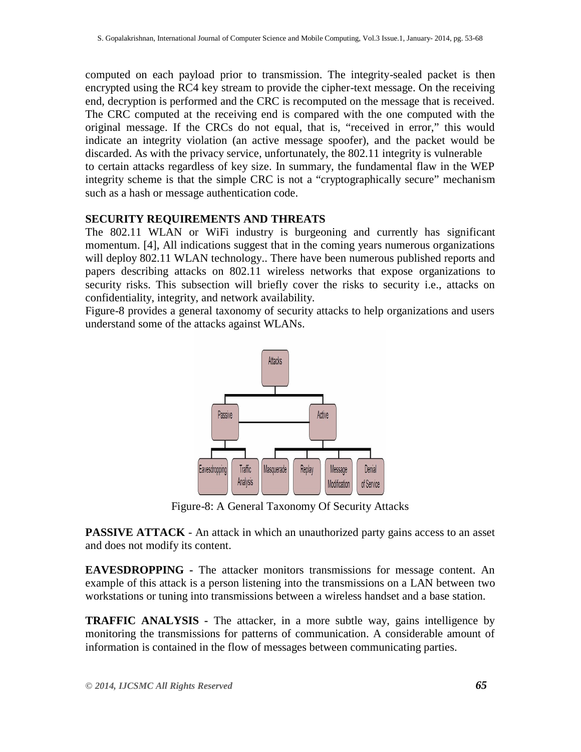computed on each payload prior to transmission. The integrity-sealed packet is then encrypted using the RC4 key stream to provide the cipher-text message. On the receiving end, decryption is performed and the CRC is recomputed on the message that is received. The CRC computed at the receiving end is compared with the one computed with the original message. If the CRCs do not equal, that is, "received in error," this would indicate an integrity violation (an active message spoofer), and the packet would be discarded. As with the privacy service, unfortunately, the 802.11 integrity is vulnerable to certain attacks regardless of key size. In summary, the fundamental flaw in the WEP integrity scheme is that the simple CRC is not a "cryptographically secure" mechanism such as a hash or message authentication code.

## **SECURITY REQUIREMENTS AND THREATS**

The 802.11 WLAN or WiFi industry is burgeoning and currently has significant momentum. [4], All indications suggest that in the coming years numerous organizations will deploy 802.11 WLAN technology.. There have been numerous published reports and papers describing attacks on 802.11 wireless networks that expose organizations to security risks. This subsection will briefly cover the risks to security i.e., attacks on confidentiality, integrity, and network availability.

Figure-8 provides a general taxonomy of security attacks to help organizations and users understand some of the attacks against WLANs.



Figure-8: A General Taxonomy Of Security Attacks

**PASSIVE ATTACK** - An attack in which an unauthorized party gains access to an asset and does not modify its content.

**EAVESDROPPING -** The attacker monitors transmissions for message content. An example of this attack is a person listening into the transmissions on a LAN between two workstations or tuning into transmissions between a wireless handset and a base station.

**TRAFFIC ANALYSIS -** The attacker, in a more subtle way, gains intelligence by monitoring the transmissions for patterns of communication. A considerable amount of information is contained in the flow of messages between communicating parties.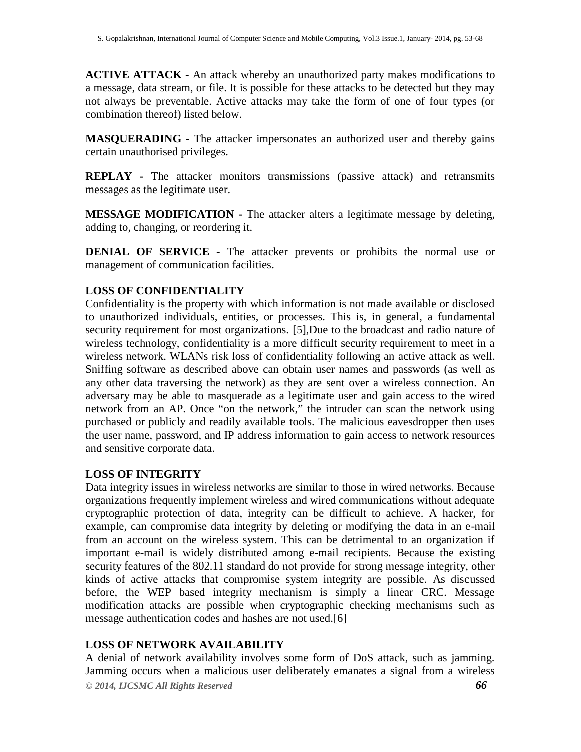**ACTIVE ATTACK** - An attack whereby an unauthorized party makes modifications to a message, data stream, or file. It is possible for these attacks to be detected but they may not always be preventable. Active attacks may take the form of one of four types (or combination thereof) listed below.

**MASQUERADING -** The attacker impersonates an authorized user and thereby gains certain unauthorised privileges.

**REPLAY -** The attacker monitors transmissions (passive attack) and retransmits messages as the legitimate user.

**MESSAGE MODIFICATION -** The attacker alters a legitimate message by deleting, adding to, changing, or reordering it.

**DENIAL OF SERVICE -** The attacker prevents or prohibits the normal use or management of communication facilities.

# **LOSS OF CONFIDENTIALITY**

Confidentiality is the property with which information is not made available or disclosed to unauthorized individuals, entities, or processes. This is, in general, a fundamental security requirement for most organizations. [5],Due to the broadcast and radio nature of wireless technology, confidentiality is a more difficult security requirement to meet in a wireless network. WLANs risk loss of confidentiality following an active attack as well. Sniffing software as described above can obtain user names and passwords (as well as any other data traversing the network) as they are sent over a wireless connection. An adversary may be able to masquerade as a legitimate user and gain access to the wired network from an AP. Once "on the network," the intruder can scan the network using purchased or publicly and readily available tools. The malicious eavesdropper then uses the user name, password, and IP address information to gain access to network resources and sensitive corporate data.

#### **LOSS OF INTEGRITY**

Data integrity issues in wireless networks are similar to those in wired networks. Because organizations frequently implement wireless and wired communications without adequate cryptographic protection of data, integrity can be difficult to achieve. A hacker, for example, can compromise data integrity by deleting or modifying the data in an e-mail from an account on the wireless system. This can be detrimental to an organization if important e-mail is widely distributed among e-mail recipients. Because the existing security features of the 802.11 standard do not provide for strong message integrity, other kinds of active attacks that compromise system integrity are possible. As discussed before, the WEP based integrity mechanism is simply a linear CRC. Message modification attacks are possible when cryptographic checking mechanisms such as message authentication codes and hashes are not used.[6]

#### **LOSS OF NETWORK AVAILABILITY**

*© 2014, IJCSMC All Rights Reserved 66* A denial of network availability involves some form of DoS attack, such as jamming. Jamming occurs when a malicious user deliberately emanates a signal from a wireless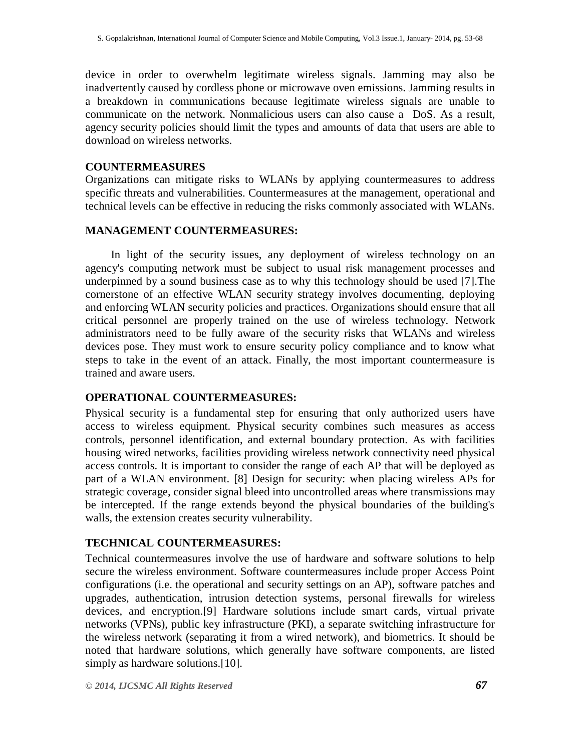device in order to overwhelm legitimate wireless signals. Jamming may also be inadvertently caused by cordless phone or microwave oven emissions. Jamming results in a breakdown in communications because legitimate wireless signals are unable to communicate on the network. Nonmalicious users can also cause a DoS. As a result, agency security policies should limit the types and amounts of data that users are able to download on wireless networks.

#### **COUNTERMEASURES**

Organizations can mitigate risks to WLANs by applying countermeasures to address specific threats and vulnerabilities. Countermeasures at the management, operational and technical levels can be effective in reducing the risks commonly associated with WLANs.

## **MANAGEMENT COUNTERMEASURES:**

 In light of the security issues, any deployment of wireless technology on an agency's computing network must be subject to usual risk management processes and underpinned by a sound business case as to why this technology should be used [7].The cornerstone of an effective WLAN security strategy involves documenting, deploying and enforcing WLAN security policies and practices. Organizations should ensure that all critical personnel are properly trained on the use of wireless technology. Network administrators need to be fully aware of the security risks that WLANs and wireless devices pose. They must work to ensure security policy compliance and to know what steps to take in the event of an attack. Finally, the most important countermeasure is trained and aware users.

# **OPERATIONAL COUNTERMEASURES:**

Physical security is a fundamental step for ensuring that only authorized users have access to wireless equipment. Physical security combines such measures as access controls, personnel identification, and external boundary protection. As with facilities housing wired networks, facilities providing wireless network connectivity need physical access controls. It is important to consider the range of each AP that will be deployed as part of a WLAN environment. [8] Design for security: when placing wireless APs for strategic coverage, consider signal bleed into uncontrolled areas where transmissions may be intercepted. If the range extends beyond the physical boundaries of the building's walls, the extension creates security vulnerability.

# **TECHNICAL COUNTERMEASURES:**

Technical countermeasures involve the use of hardware and software solutions to help secure the wireless environment. Software countermeasures include proper Access Point configurations (i.e. the operational and security settings on an AP), software patches and upgrades, authentication, intrusion detection systems, personal firewalls for wireless devices, and encryption.[9] Hardware solutions include smart cards, virtual private networks (VPNs), public key infrastructure (PKI), a separate switching infrastructure for the wireless network (separating it from a wired network), and biometrics. It should be noted that hardware solutions, which generally have software components, are listed simply as hardware solutions.[10].